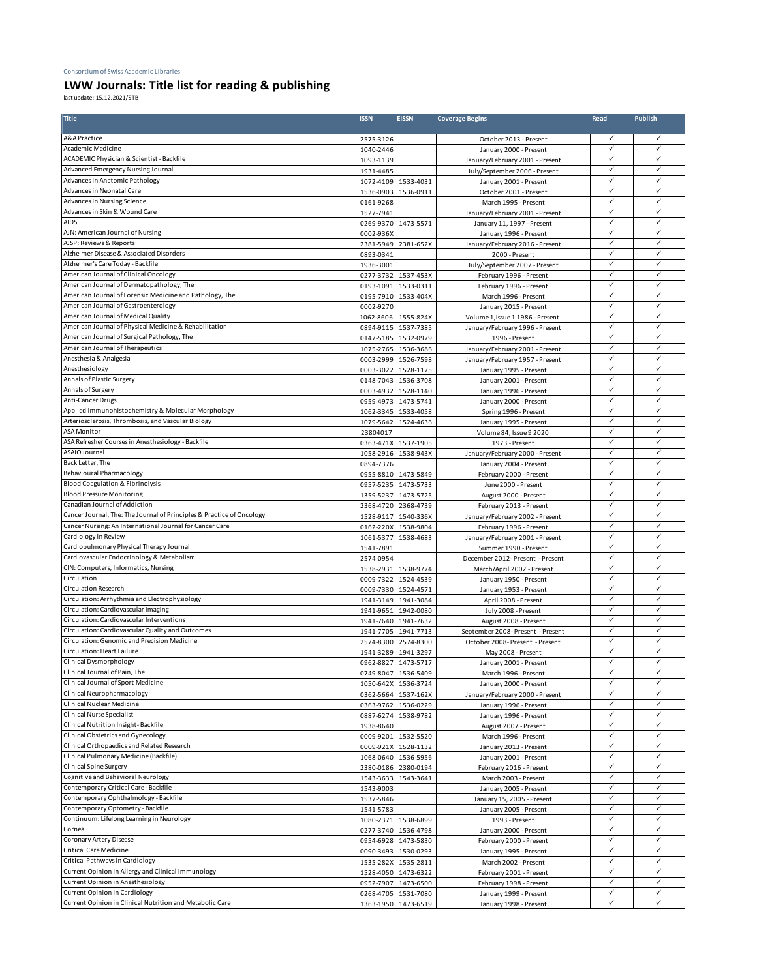## Consortium of Swiss Academic Libraries

## **LWW Journals: Title list for reading & publishing**

last update: 15.12.2021/STB

| <b>Title</b>                                                          | <b>ISSN</b>            | <b>EISSN</b>        | <b>Coverage Begins</b>                               | Read         | Publish      |
|-----------------------------------------------------------------------|------------------------|---------------------|------------------------------------------------------|--------------|--------------|
| A&A Practice                                                          | 2575-3126              |                     | October 2013 - Present                               | ✓            |              |
| Academic Medicine                                                     | 1040-2446              |                     | January 2000 - Present                               | ✓            | $\checkmark$ |
| <b>ACADEMIC Physician &amp; Scientist - Backfile</b>                  | 1093-1139              |                     | January/February 2001 - Present                      | ✓            | ✓            |
| Advanced Emergency Nursing Journal                                    | 1931-4485              |                     | July/September 2006 - Present                        | ✓            | ✓            |
| Advances in Anatomic Pathology                                        | 1072-4109              | 1533-4031           | January 2001 - Present                               | ✓            | √            |
| Advances in Neonatal Care                                             | 1536-0903              | 1536-0911           | October 2001 - Present                               | ✓            | ✓            |
| Advances in Nursing Science                                           | 0161-9268              |                     | March 1995 - Present                                 | ✓            | ✓            |
| Advances in Skin & Wound Care                                         | 1527-7941              |                     | January/February 2001 - Present                      | ✓            | V            |
| <b>AIDS</b>                                                           | 0269-9370              | 1473-5571           | January 11, 1997 - Present                           | ✓            | ✓            |
| AJN: American Journal of Nursing                                      | 0002-936X              |                     | January 1996 - Present                               | ✓            | ✓            |
| AJSP: Reviews & Reports                                               | 2381-5949              | 2381-652X           | January/February 2016 - Present                      | ✓            | V            |
| Alzheimer Disease & Associated Disorders                              | 0893-0341              |                     | 2000 - Present                                       |              |              |
| Alzheimer's Care Today - Backfile                                     | 1936-3001              |                     | July/September 2007 - Present                        | ✓            | ✓            |
| American Journal of Clinical Oncology                                 | 0277-3732              | 1537-453X           | February 1996 - Present                              | ✓            | V            |
| American Journal of Dermatopathology, The                             | 0193-1091              | 1533-0311           | February 1996 - Present                              | ✓            | ✓            |
| American Journal of Forensic Medicine and Pathology, The              | 0195-7910              | 1533-404X           | March 1996 - Present                                 | $\checkmark$ | ✓            |
| American Journal of Gastroenterology                                  | 0002-9270              |                     | January 2015 - Present                               | ✓            | ✓            |
| American Journal of Medical Quality                                   | 1062-8606              | 1555-824X           | Volume 1, Issue 1 1986 - Present                     | ✓            | ✓            |
| American Journal of Physical Medicine & Rehabilitation                |                        | 0894-9115 1537-7385 | January/February 1996 - Present                      | ✓            | V            |
| American Journal of Surgical Pathology, The                           | 0147-5185              | 1532-0979           | 1996 - Present                                       | ✓            | V            |
| American Journal of Therapeutics                                      | 1075-2765              | 1536-3686           | January/February 2001 - Present                      | ✓            | ✓            |
| Anesthesia & Analgesia                                                | 0003-2999              | 1526-7598           | January/February 1957 - Present                      | ✓            | $\checkmark$ |
| Anesthesiology                                                        | 0003-3022              | 1528-1175           | January 1995 - Present                               | ✓            | ✓            |
| Annals of Plastic Surgery                                             | 0148-7043              | 1536-3708           | January 2001 - Present                               | ✓            | ✓            |
| Annals of Surgery                                                     | 0003-4932              | 1528-1140           | January 1996 - Present                               | ✓            | $\checkmark$ |
| Anti-Cancer Drugs                                                     | 0959-4973              | 1473-5741           | January 2000 - Present                               | $\checkmark$ | ✓            |
| Applied Immunohistochemistry & Molecular Morphology                   | 1062-3345              | 1533-4058           | Spring 1996 - Present                                | ✓            | ✓            |
| Arteriosclerosis, Thrombosis, and Vascular Biology                    | 1079-5642              | 1524-4636           | January 1995 - Present                               | $\checkmark$ | ✓            |
| <b>ASA Monitor</b>                                                    | 23804017               |                     | Volume 84, Issue 9 2020                              | ✓            |              |
| ASA Refresher Courses in Anesthesiology - Backfile                    | 0363-471X              | 1537-1905           | 1973 - Present                                       | ✓            | ✓            |
| ASAIO Journal                                                         | 1058-2916              | 1538-943X           | January/February 2000 - Present                      | ✓            | V            |
| Back Letter. The                                                      | 0894-7376              |                     | January 2004 - Present                               | ✓            | ✓            |
| <b>Behavioural Pharmacology</b>                                       |                        | 0955-8810 1473-5849 | February 2000 - Present                              | $\checkmark$ | ✓            |
| Blood Coagulation & Fibrinolysis                                      | 0957-5235              | 1473-5733           | June 2000 - Present                                  | ✓            | √            |
| <b>Blood Pressure Monitoring</b>                                      | 1359-5237              | 1473-5725           | August 2000 - Present                                | ✓            | ✓            |
| Canadian Journal of Addiction                                         |                        | 2368-4720 2368-4739 | February 2013 - Present                              | ✓            | ✓            |
| Cancer Journal, The: The Journal of Principles & Practice of Oncology | 1528-9117              | 1540-336X           | January/February 2002 - Present                      | ✓            | ✓            |
| Cancer Nursing: An International Journal for Cancer Care              | 0162-220X              | 1538-9804           | February 1996 - Present                              | ✓            | ✓            |
| Cardiology in Review                                                  | 1061-5377              | 1538-4683           | January/February 2001 - Present                      | ✓            | ✓            |
| Cardiopulmonary Physical Therapy Journal                              | 1541-7891              |                     | Summer 1990 - Present                                | ✓            | ✓            |
| Cardiovascular Endocrinology & Metabolism                             | 2574-0954              |                     | December 2012- Present - Present                     | ✓            | ✓            |
| CIN: Computers, Informatics, Nursing                                  | 1538-2931              | 1538-9774           | March/April 2002 - Present                           | $\checkmark$ | $\checkmark$ |
| Circulation                                                           | 0009-7322              | 1524-4539           | January 1950 - Present                               | ✓            | V            |
| Circulation Research                                                  | 0009-7330              | 1524-4571           | January 1953 - Present                               | ✓            | ✓            |
| Circulation: Arrhythmia and Electrophysiology                         | 1941-3149              | 1941-3084           | April 2008 - Present                                 | $\checkmark$ | $\checkmark$ |
| Circulation: Cardiovascular Imaging                                   | 1941-9651              | 1942-0080           | July 2008 - Present                                  | ✓            | ✓            |
| Circulation: Cardiovascular Interventions                             |                        | 1941-7640 1941-7632 | August 2008 - Present                                | ✓            | ✓            |
| Circulation: Cardiovascular Quality and Outcomes                      | 1941-7705              | 1941-7713           | September 2008-Present - Present                     | ✓            | $\checkmark$ |
| Circulation: Genomic and Precision Medicine                           | 2574-8300              | 2574-8300           | October 2008- Present - Present                      | ✓            | ✓            |
| Circulation: Heart Failure                                            |                        | 1941-3289 1941-3297 | May 2008 - Present                                   | ✓            | ✓            |
| Clinical Dysmorphology                                                |                        | 0962-8827 1473-5717 | January 2001 - Present                               | ✓            | ✓            |
| Clinical Journal of Pain, The                                         |                        | 0749-8047 1536-5409 | March 1996 - Present                                 | ✓<br>✓       | ✓<br>✓       |
| Clinical Journal of Sport Medicine<br>Clinical Neuropharmacology      | 1050-642X              | 1536-3724           | January 2000 - Present                               | $\checkmark$ | $\checkmark$ |
| Clinical Nuclear Medicine                                             | 0362-5664              | 1537-162X           | January/February 2000 - Present                      | ✓            | $\checkmark$ |
|                                                                       | 0363-9762              | 1536-0229           | January 1996 - Present                               | ✓            | ✓            |
| Clinical Nurse Specialist<br>Clinical Nutrition Insight-Backfile      | 0887-6274              | 1538-9782           | January 1996 - Present                               | $\checkmark$ | ✓            |
| Clinical Obstetrics and Gynecology                                    | 1938-8640              |                     | August 2007 - Present                                | ✓            |              |
| Clinical Orthopaedics and Related Research                            | 0009-9201              | 1532-5520           | March 1996 - Present                                 | ✓            | ✓            |
| Clinical Pulmonary Medicine (Backfile)                                | 0009-921X              | 1528-1132           | January 2013 - Present                               | ✓            | ✓            |
| Clinical Spine Surgery                                                | 1068-0640              | 1536-5956           | January 2001 - Present                               | ✓            | $\checkmark$ |
| Cognitive and Behavioral Neurology                                    | 2380-0186<br>1543-3633 | 2380-0194           | February 2016 - Present                              | $\checkmark$ | ✓            |
| Contemporary Critical Care - Backfile                                 |                        | 1543-3641           | March 2003 - Present                                 | ✓            | ✓            |
| Contemporary Ophthalmology - Backfile                                 | 1543-9003<br>1537-5846 |                     | January 2005 - Present<br>January 15, 2005 - Present | ✓            | ✓            |
| Contemporary Optometry - Backfile                                     | 1541-5783              |                     |                                                      | ✓            | V            |
| Continuum: Lifelong Learning in Neurology                             | 1080-2371              | 1538-6899           | January 2005 - Present                               | ✓            | ✓            |
| Cornea                                                                | 0277-3740              | 1536-4798           | 1993 - Present<br>January 2000 - Present             | ✓            | ✓            |
| Coronary Artery Disease                                               | 0954-6928              | 1473-5830           | February 2000 - Present                              | $\checkmark$ | ✓            |
| Critical Care Medicine                                                | 0090-3493              | 1530-0293           | January 1995 - Present                               | ✓            | ✓            |
| Critical Pathways in Cardiology                                       | 1535-282X              | 1535-2811           | March 2002 - Present                                 | ✓            | ✓            |
| Current Opinion in Allergy and Clinical Immunology                    |                        | 1528-4050 1473-6322 | February 2001 - Present                              | ✓            | ✓            |
| Current Opinion in Anesthesiology                                     | 0952-7907              | 1473-6500           | February 1998 - Present                              | ✓            | ✓            |
| Current Opinion in Cardiology                                         | 0268-4705              | 1531-7080           | January 1999 - Present                               | $\checkmark$ | $\checkmark$ |
| Current Opinion in Clinical Nutrition and Metabolic Care              |                        | 1363-1950 1473-6519 | January 1998 - Present                               | $\checkmark$ | ✓            |
|                                                                       |                        |                     |                                                      |              |              |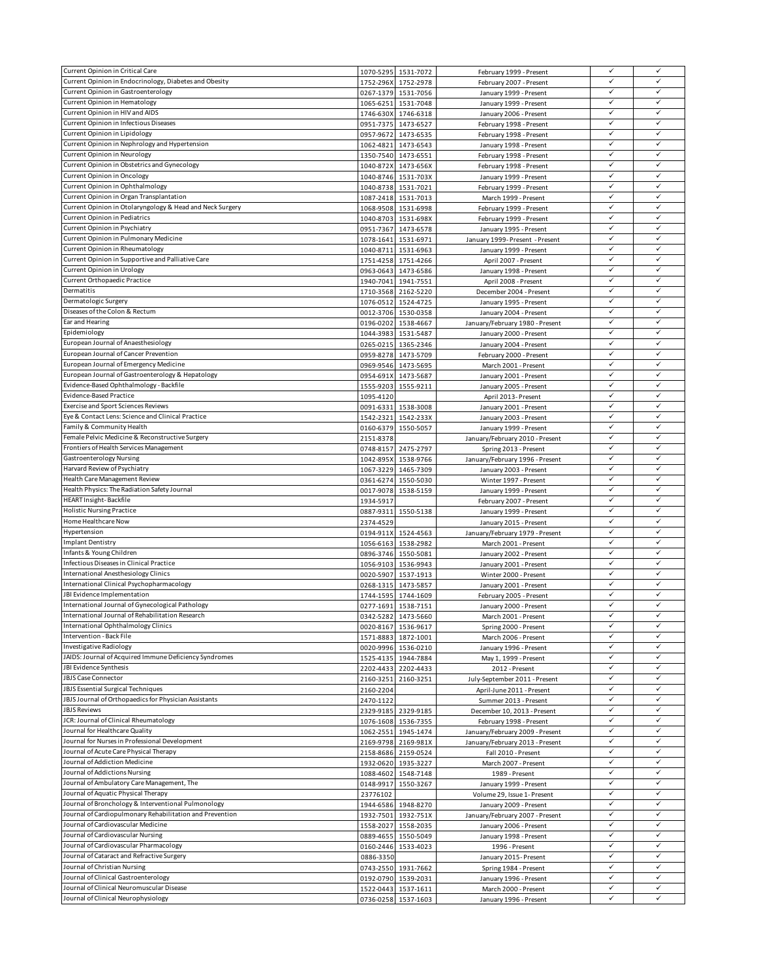| Current Opinion in Critical Care                          |           | 1070-5295 1531-7072                        | February 1999 - Present                        | ✓            | ✓            |
|-----------------------------------------------------------|-----------|--------------------------------------------|------------------------------------------------|--------------|--------------|
| Current Opinion in Endocrinology, Diabetes and Obesity    | 1752-296X | 1752-2978                                  | February 2007 - Present                        | ✓            | $\checkmark$ |
| Current Opinion in Gastroenterology                       |           | 0267-1379 1531-7056                        | January 1999 - Present                         | $\checkmark$ | ✓            |
| Current Opinion in Hematology                             |           |                                            |                                                | ✓            | ✓            |
|                                                           | 1065-6251 | 1531-7048                                  | January 1999 - Present                         | ✓            | ✓            |
| Current Opinion in HIV and AIDS                           |           | 1746-630X 1746-6318                        | January 2006 - Present                         |              |              |
| Current Opinion in Infectious Diseases                    | 0951-7375 | 1473-6527                                  | February 1998 - Present                        | ✓            | ✓            |
| Current Opinion in Lipidology                             | 0957-9672 | 1473-6535                                  | February 1998 - Present                        | $\checkmark$ | ✓            |
| Current Opinion in Nephrology and Hypertension            | 1062-4821 | 1473-6543                                  | January 1998 - Present                         | $\checkmark$ | $\checkmark$ |
| Current Opinion in Neurology                              |           | 1350-7540 1473-6551                        | February 1998 - Present                        | ✓            | ✓            |
| Current Opinion in Obstetrics and Gynecology              | 1040-872X | 1473-656X                                  | February 1998 - Present                        | $\checkmark$ | ✓            |
| Current Opinion in Oncology                               |           | 1040-8746 1531-703X                        | January 1999 - Present                         | ✓            | ✓            |
| Current Opinion in Ophthalmology                          | 1040-8738 | 1531-7021                                  | February 1999 - Present                        | ✓            | ✓            |
| Current Opinion in Organ Transplantation                  |           |                                            |                                                | $\checkmark$ | ✓            |
|                                                           | 1087-2418 | 1531-7013                                  | March 1999 - Present                           |              |              |
| Current Opinion in Otolaryngology & Head and Neck Surgery | 1068-9508 | 1531-6998                                  | February 1999 - Present                        | $\checkmark$ | ✓            |
| Current Opinion in Pediatrics                             | 1040-8703 | 1531-698X                                  | February 1999 - Present                        | ✓            | ✓            |
| Current Opinion in Psychiatry                             | 0951-7367 | 1473-6578                                  | January 1995 - Present                         | ✓            | ✓            |
| Current Opinion in Pulmonary Medicine                     | 1078-1641 | 1531-6971                                  | January 1999- Present - Present                | ✓            | ✓            |
| Current Opinion in Rheumatology                           | 1040-8711 | 1531-6963                                  | January 1999 - Present                         | ✓            | ✓            |
| Current Opinion in Supportive and Palliative Care         | 1751-4258 | 1751-4266                                  | April 2007 - Present                           | ✓            | ✓            |
| Current Opinion in Urology                                | 0963-0643 | 1473-6586                                  | January 1998 - Present                         | $\checkmark$ | ✓            |
| Current Orthopaedic Practice                              | 1940-7041 | 1941-7551                                  | April 2008 - Present                           | ✓            | $\checkmark$ |
| Dermatitis                                                |           |                                            |                                                | ✓            | ✓            |
|                                                           |           | 1710-3568 2162-5220                        | December 2004 - Present                        | ✓            | $\checkmark$ |
| Dermatologic Surgery                                      | 1076-0512 | 1524-4725                                  | January 1995 - Present                         |              |              |
| Diseases of the Colon & Rectum                            | 0012-3706 | 1530-0358                                  | January 2004 - Present                         | ✓            | ✓            |
| Ear and Hearing                                           | 0196-0202 | 1538-4667                                  | January/February 1980 - Present                | $\checkmark$ | $\checkmark$ |
| Epidemiology                                              | 1044-3983 | 1531-5487                                  | January 2000 - Present                         | ✓            | ✓            |
| European Journal of Anaesthesiology                       | 0265-0215 | 1365-2346                                  | January 2004 - Present                         | ✓            | ✓            |
| European Journal of Cancer Prevention                     | 0959-8278 | 1473-5709                                  | February 2000 - Present                        | ✓            | ✓            |
| European Journal of Emergency Medicine                    |           | 0969-9546 1473-5695                        | March 2001 - Present                           | ✓            | $\checkmark$ |
| European Journal of Gastroenterology & Hepatology         | 0954-691X | 1473-5687                                  | January 2001 - Present                         | ✓            | ✓            |
| Evidence-Based Ophthalmology - Backfile                   |           |                                            |                                                | ✓            | ✓            |
| <b>Evidence-Based Practice</b>                            | 1555-9203 | 1555-9211                                  | January 2005 - Present                         | ✓            | ✓            |
|                                                           | 1095-4120 |                                            | April 2013- Present                            |              |              |
| <b>Exercise and Sport Sciences Reviews</b>                |           | 0091-6331 1538-3008                        | January 2001 - Present                         | ✓            | $\checkmark$ |
| Eye & Contact Lens: Science and Clinical Practice         |           | 1542-2321 1542-233X                        | January 2003 - Present                         | ✓            | ✓            |
| Family & Community Health                                 | 0160-6379 | 1550-5057                                  | January 1999 - Present                         | ✓            | $\checkmark$ |
| Female Pelvic Medicine & Reconstructive Surgery           | 2151-8378 |                                            | January/February 2010 - Present                | $\checkmark$ | ✓            |
| Frontiers of Health Services Management                   |           | 0748-8157 2475-2797                        | Spring 2013 - Present                          | $\checkmark$ | $\checkmark$ |
| Gastroenterology Nursing                                  | 1042-895X | 1538-9766                                  | January/February 1996 - Present                | ✓            | $\checkmark$ |
| Harvard Review of Psychiatry                              |           | 1067-3229 1465-7309                        | January 2003 - Present                         | ✓            | ✓            |
| Health Care Management Review                             |           |                                            |                                                | ✓            | ✓            |
|                                                           |           |                                            |                                                |              |              |
|                                                           |           | 0361-6274 1550-5030                        | Winter 1997 - Present                          |              |              |
| Health Physics: The Radiation Safety Journal              | 0017-9078 | 1538-5159                                  | January 1999 - Present                         | ✓            | ✓            |
| HEART Insight-Backfile                                    | 1934-5917 |                                            | February 2007 - Present                        | $\checkmark$ | ✓            |
| <b>Holistic Nursing Practice</b>                          |           | 0887-9311 1550-5138                        | January 1999 - Present                         | $\checkmark$ | ✓            |
| Home Healthcare Now                                       | 2374-4529 |                                            | January 2015 - Present                         | ✓            | ✓            |
| Hypertension                                              |           | 0194-911X 1524-4563                        | January/February 1979 - Present                | ✓            | ✓            |
| <b>Implant Dentistry</b>                                  |           | 1056-6163 1538-2982                        | March 2001 - Present                           | ✓            | $\checkmark$ |
|                                                           |           |                                            |                                                | ✓            | ✓            |
| Infants & Young Children                                  | 0896-3746 | 1550-5081                                  | January 2002 - Present                         | ✓            | $\checkmark$ |
| Infectious Diseases in Clinical Practice                  | 1056-9103 | 1536-9943                                  | January 2001 - Present                         |              |              |
| International Anesthesiology Clinics                      |           | 0020-5907 1537-1913                        | Winter 2000 - Present                          | $\checkmark$ | ✓            |
| International Clinical Psychopharmacology                 | 0268-1315 | 1473-5857                                  | January 2001 - Present                         | ✓            | $\checkmark$ |
| JBI Evidence Implementation                               |           | 1744-1595 1744-1609                        | February 2005 - Present                        | ✓            | ✓            |
| International Journal of Gynecological Pathology          |           | 0277-1691 1538-7151                        | January 2000 - Present                         | ✓            | ✓            |
| International Journal of Rehabilitation Research          |           | 0342-5282 1473-5660                        | March 2001 - Present                           | ✓            | $\checkmark$ |
| International Ophthalmology Clinics                       |           | 0020-8167 1536-9617                        | Spring 2000 - Present                          | ✓            | ✓            |
| Intervention - Back File                                  |           | 1571-8883 1872-1001                        | March 2006 - Present                           | $\checkmark$ | $\checkmark$ |
| Investigative Radiology                                   |           | 0020-9996 1536-0210                        | January 1996 - Present                         | $\checkmark$ | ✓            |
| JAIDS: Journal of Acquired Immune Deficiency Syndromes    |           | 1525-4135 1944-7884                        |                                                | ✓            | ✓            |
| JBI Evidence Synthesis                                    |           |                                            | May 1, 1999 - Present                          | ✓            | $\checkmark$ |
|                                                           |           | 2202-4433 2202-4433                        | 2012 - Present                                 | $\checkmark$ | $\checkmark$ |
| JBJS Case Connector                                       | 2160-3251 | 2160-3251                                  | July-September 2011 - Present                  |              |              |
| <b>JBJS Essential Surgical Techniques</b>                 | 2160-2204 |                                            | April-June 2011 - Present                      | ✓            | ✓            |
| JBJS Journal of Orthopaedics for Physician Assistants     | 2470-1122 |                                            | Summer 2013 - Present                          | ✓            | ✓            |
| <b>JBJS Reviews</b>                                       |           | 2329-9185 2329-9185                        | December 10, 2013 - Present                    | ✓            |              |
| JCR: Journal of Clinical Rheumatology                     |           | 1076-1608 1536-7355                        | February 1998 - Present                        | ✓            | $\checkmark$ |
| Journal for Healthcare Quality                            |           | 1062-2551 1945-1474                        | January/February 2009 - Present                | ✓            | ✓            |
| Journal for Nurses in Professional Development            |           | 2169-9798 2169-981X                        | January/February 2013 - Present                | $\checkmark$ | $\checkmark$ |
| Journal of Acute Care Physical Therapy                    |           | 2158-8686 2159-0524                        | Fall 2010 - Present                            | $\checkmark$ | $\checkmark$ |
| Journal of Addiction Medicine                             |           |                                            |                                                | ✓            | ✓            |
| Journal of Addictions Nursing                             |           | 1932-0620 1935-3227                        | March 2007 - Present                           | ✓            | ✓            |
|                                                           |           | 1088-4602 1548-7148                        | 1989 - Present                                 | $\checkmark$ | $\checkmark$ |
| Journal of Ambulatory Care Management, The                | 0148-9917 | 1550-3267                                  | January 1999 - Present                         |              |              |
| Journal of Aquatic Physical Therapy                       | 23776102  |                                            | Volume 29, Issue 1- Present                    | ✓            | ✓            |
| Journal of Bronchology & Interventional Pulmonology       |           | 1944-6586 1948-8270                        | January 2009 - Present                         | $\checkmark$ | ✓            |
| Journal of Cardiopulmonary Rehabilitation and Prevention  |           | 1932-7501 1932-751X                        | January/February 2007 - Present                | $\checkmark$ | ✓            |
| Journal of Cardiovascular Medicine                        | 1558-2027 | 1558-2035                                  | January 2006 - Present                         | ✓            | ✓            |
| Journal of Cardiovascular Nursing                         | 0889-4655 | 1550-5049                                  | January 1998 - Present                         | ✓            | ✓            |
| Journal of Cardiovascular Pharmacology                    |           | 0160-2446 1533-4023                        | 1996 - Present                                 | ✓            | $\checkmark$ |
| Journal of Cataract and Refractive Surgery                | 0886-3350 |                                            | January 2015-Present                           | $\checkmark$ | $\checkmark$ |
| Journal of Christian Nursing                              |           |                                            |                                                | ✓            | $\checkmark$ |
| Journal of Clinical Gastroenterology                      |           | 0743-2550 1931-7662                        | Spring 1984 - Present                          | ✓            | $\checkmark$ |
| Journal of Clinical Neuromuscular Disease                 |           | 0192-0790 1539-2031                        | January 1996 - Present                         | ✓            | $\checkmark$ |
| Journal of Clinical Neurophysiology                       |           | 1522-0443 1537-1611<br>0736-0258 1537-1603 | March 2000 - Present<br>January 1996 - Present | ✓            | ✓            |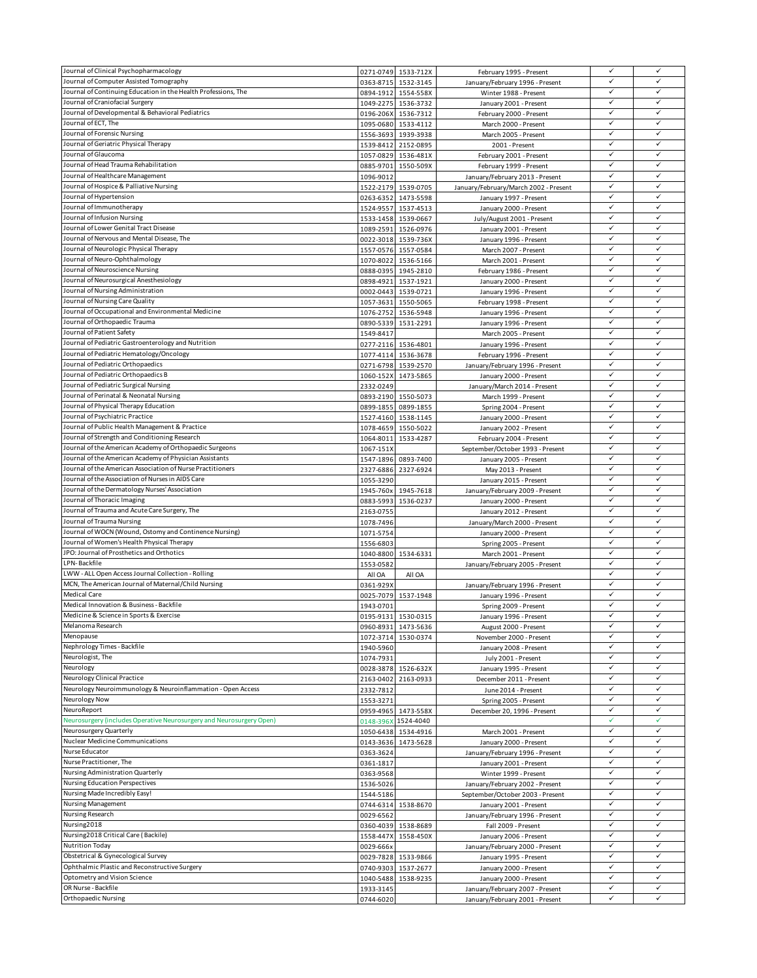| Journal of Clinical Psychopharmacology                                                                    |                        | 0271-0749 1533-712X              | February 1995 - Present                         | $\checkmark$                 | ✓      |
|-----------------------------------------------------------------------------------------------------------|------------------------|----------------------------------|-------------------------------------------------|------------------------------|--------|
| Journal of Computer Assisted Tomography                                                                   | 0363-8715              | 1532-3145                        | January/February 1996 - Present                 | ✓                            | ✓      |
| Journal of Continuing Education in the Health Professions, The                                            | 0894-1912              | 1554-558X                        | Winter 1988 - Present                           | $\checkmark$                 | ✓      |
| Journal of Craniofacial Surgery                                                                           | 1049-2275              | 1536-3732                        | January 2001 - Present                          | ✓                            | ✓      |
| Journal of Developmental & Behavioral Pediatrics                                                          | 0196-206X              | 1536-7312                        | February 2000 - Present                         | $\checkmark$                 | ✓      |
| Journal of ECT, The                                                                                       | 1095-0680              | 1533-4112                        | March 2000 - Present                            | ✓                            | ✓      |
| Journal of Forensic Nursing                                                                               | 1556-3693              | 1939-3938                        | March 2005 - Present                            | ✓                            | ✓      |
| Journal of Geriatric Physical Therapy                                                                     | 1539-8412              | 2152-0895                        | 2001 - Present                                  | $\checkmark$                 | ✓      |
| Journal of Glaucoma                                                                                       | 1057-0829              | 1536-481X                        | February 2001 - Present                         | ✓                            | ✓      |
| Journal of Head Trauma Rehabilitation                                                                     | 0885-9701              | 1550-509X                        | February 1999 - Present                         | $\checkmark$                 | ✓      |
| Journal of Healthcare Management                                                                          | 1096-9012              |                                  | January/February 2013 - Present                 | ✓<br>$\checkmark$            | ✓      |
| Journal of Hospice & Palliative Nursing                                                                   | 1522-2179              | 1539-0705                        | January/February/March 2002 - Present           | ✓                            | ✓      |
| Journal of Hypertension<br>Journal of Immunotherapy                                                       | 0263-6352              | 1473-5598                        | January 1997 - Present                          | ✓                            | ✓      |
|                                                                                                           | 1524-9557              | 1537-4513                        | January 2000 - Present                          | $\checkmark$                 | ✓      |
| Journal of Infusion Nursing<br>Journal of Lower Genital Tract Disease                                     | 1533-1458              | 1539-0667                        | July/August 2001 - Present                      | ✓                            | ✓      |
| Journal of Nervous and Mental Disease, The                                                                | 1089-2591              | 1526-0976                        | January 2001 - Present                          | ✓                            | ✓      |
| Journal of Neurologic Physical Therapy                                                                    | 0022-3018<br>1557-0576 | 1539-736X<br>1557-0584           | January 1996 - Present<br>March 2007 - Present  | $\checkmark$                 | ✓      |
| Journal of Neuro-Ophthalmology                                                                            | 1070-8022              | 1536-5166                        | March 2001 - Present                            | $\checkmark$                 | ✓      |
| Journal of Neuroscience Nursing                                                                           | 0888-0395              | 1945-2810                        | February 1986 - Present                         | $\checkmark$                 | ✓      |
| Journal of Neurosurgical Anesthesiology                                                                   | 0898-4921              | 1537-1921                        | January 2000 - Present                          | $\checkmark$                 | ✓      |
| Journal of Nursing Administration                                                                         | 0002-0443              | 1539-0721                        | January 1996 - Present                          | ✓                            | ✓      |
| Journal of Nursing Care Quality                                                                           | 1057-3631              | 1550-5065                        | February 1998 - Present                         | ✓                            | ✓      |
| Journal of Occupational and Environmental Medicine                                                        | 1076-2752              | 1536-5948                        | January 1996 - Present                          | ✓                            | ✓      |
| Journal of Orthopaedic Trauma                                                                             | 0890-5339              | 1531-2291                        | January 1996 - Present                          | ✓                            | ✓      |
| Journal of Patient Safety                                                                                 | 1549-8417              |                                  | March 2005 - Present                            | ✓                            | ✓      |
| Journal of Pediatric Gastroenterology and Nutrition                                                       |                        | 0277-2116 1536-4801              | January 1996 - Present                          | ✓                            | ✓      |
| Journal of Pediatric Hematology/Oncology                                                                  |                        | 1077-4114 1536-3678              | February 1996 - Present                         | ✓                            |        |
| Journal of Pediatric Orthopaedics                                                                         | 0271-6798              | 1539-2570                        | January/February 1996 - Present                 | $\checkmark$                 | ✓      |
| Journal of Pediatric Orthopaedics B                                                                       | 1060-152X              | 1473-5865                        | January 2000 - Present                          | ✓                            | ✓      |
| Journal of Pediatric Surgical Nursing                                                                     | 2332-0249              |                                  | January/March 2014 - Present                    | ✓                            | ✓      |
| Journal of Perinatal & Neonatal Nursing                                                                   |                        | 0893-2190 1550-5073              | March 1999 - Present                            | $\checkmark$                 | ✓      |
| Journal of Physical Therapy Education                                                                     | 0899-1855              | 0899-1855                        | Spring 2004 - Present                           | ✓                            | ✓      |
| Journal of Psychiatric Practice                                                                           | 1527-4160              | 1538-1145                        | January 2000 - Present                          | ✓                            | ✓      |
| Journal of Public Health Management & Practice                                                            | 1078-4659              | 1550-5022                        | January 2002 - Present                          | ✓                            | ✓      |
| Journal of Strength and Conditioning Research                                                             | 1064-8011              | 1533-4287                        | February 2004 - Present                         | ✓                            | ✓      |
| Journal of the American Academy of Orthopaedic Surgeons                                                   | 1067-151X              |                                  | September/October 1993 - Present                | $\checkmark$                 | ✓      |
| Journal of the American Academy of Physician Assistants                                                   | 1547-1896              | 0893-7400                        | January 2005 - Present                          | $\checkmark$                 | ✓      |
| Journal of the American Association of Nurse Practitioners                                                | 2327-6886              | 2327-6924                        | May 2013 - Present                              | ✓                            | ✓      |
| Journal of the Association of Nurses in AIDS Care                                                         | 1055-3290              |                                  | January 2015 - Present                          | ✓                            | ✓      |
| Journal of the Dermatology Nurses' Association                                                            | 1945-760x              | 1945-7618                        | January/February 2009 - Present                 | ✓                            | ✓      |
| Journal of Thoracic Imaging                                                                               | 0883-5993              | 1536-0237                        | January 2000 - Present                          | ✓                            | ✓      |
| Journal of Trauma and Acute Care Surgery, The                                                             | 2163-0755              |                                  | January 2012 - Present                          | ✓                            | ✓      |
| Journal of Trauma Nursing                                                                                 | 1078-7496              |                                  | January/March 2000 - Present                    | $\checkmark$                 | ✓      |
| Journal of WOCN (Wound, Ostomy and Continence Nursing)                                                    | 1071-5754              |                                  | January 2000 - Present                          | ✓<br>✓                       | ✓      |
| Journal of Women's Health Physical Therapy                                                                | 1556-6803              |                                  | Spring 2005 - Present                           | $\checkmark$                 | ✓<br>✓ |
| JPO: Journal of Prosthetics and Orthotics<br>LPN-Backfile                                                 | 1040-8800              | 1534-6331                        | March 2001 - Present                            | ✓                            | ✓      |
|                                                                                                           | 1553-0582              |                                  | January/February 2005 - Present                 | $\checkmark$                 | ✓      |
| LWW - ALL Open Access Journal Collection - Rolling<br>MCN, The American Journal of Maternal/Child Nursing | All OA                 | All OA                           |                                                 | ✓                            | ✓      |
| <b>Medical Care</b>                                                                                       | 0361-929X<br>0025-7079 |                                  | January/February 1996 - Present                 | $\checkmark$                 | ✓      |
| Medical Innovation & Business - Backfile                                                                  |                        | 1537-1948                        | January 1996 - Present<br>Spring 2009 - Present | ✓                            | ✓      |
| Medicine & Science in Sports & Exercise                                                                   | 1943-0701              |                                  |                                                 | ✓                            | ✓      |
| Melanoma Research                                                                                         | 0960-8931              | 0195-9131 1530-0315<br>1473-5636 | January 1996 - Present<br>August 2000 - Present | $\checkmark$                 | ✓      |
| Menopause                                                                                                 | 1072-3714              | 1530-0374                        | November 2000 - Present                         | $\checkmark$                 | ✓      |
| Nephrology Times - Backfile                                                                               | 1940-5960              |                                  | January 2008 - Present                          | $\checkmark$                 | ✓      |
| Neurologist, The                                                                                          | 1074-7931              |                                  | July 2001 - Present                             | ✓                            | ✓      |
| Neurology                                                                                                 | 0028-3878              | 1526-632X                        | January 1995 - Present                          | ✓                            | ✓      |
| <b>Neurology Clinical Practice</b>                                                                        | 2163-0402              | 2163-0933                        | December 2011 - Present                         | ✓                            | ✓      |
| Neurology Neuroimmunology & Neuroinflammation - Open Access                                               | 2332-7812              |                                  | June 2014 - Present                             | $\checkmark$                 | ✓      |
| Neurology Now                                                                                             | 1553-3271              |                                  | Spring 2005 - Present                           | $\checkmark$                 | ✓      |
| NeuroReport                                                                                               | 0959-4965              | 1473-558X                        | December 20, 1996 - Present                     | ✓                            | ✓      |
| Neurosurgery (includes Operative Neurosurgery and Neurosurgery Open)                                      |                        | 0148-396X 1524-4040              |                                                 | ✓                            | ✓      |
| Neurosurgery Quarterly                                                                                    | 1050-6438              | 1534-4916                        | March 2001 - Present                            | ✓                            | ✓      |
| Nuclear Medicine Communications                                                                           | 0143-3636              | 1473-5628                        | January 2000 - Present                          | ✓                            | ✓      |
| Nurse Educator                                                                                            | 0363-3624              |                                  | January/February 1996 - Present                 | $\checkmark$                 | ✓      |
| Nurse Practitioner, The                                                                                   | 0361-1817              |                                  | January 2001 - Present                          | $\checkmark$                 | ✓      |
| Nursing Administration Quarterly                                                                          | 0363-9568              |                                  | Winter 1999 - Present                           | ✓                            | ✓      |
| Nursing Education Perspectives                                                                            | 1536-5026              |                                  | January/February 2002 - Present                 | $\checkmark$                 | ✓      |
| Nursing Made Incredibly Easy!                                                                             | 1544-5186              |                                  | September/October 2003 - Present                | ✓                            | ✓      |
| Nursing Management                                                                                        | 0744-6314              | 1538-8670                        | January 2001 - Present                          | $\checkmark$                 | ✓      |
| Nursing Research                                                                                          | 0029-6562              |                                  | January/February 1996 - Present                 | $\checkmark$                 | ✓      |
| Nursing2018                                                                                               | 0360-4039              | 1538-8689                        | Fall 2009 - Present                             | $\checkmark$                 | ✓      |
| Nursing2018 Critical Care (Backile)                                                                       | 1558-447X              | 1558-450X                        | January 2006 - Present                          | $\checkmark$                 | ✓      |
| <b>Nutrition Today</b>                                                                                    | 0029-666x              |                                  | January/February 2000 - Present                 | $\checkmark$                 | ✓      |
| Obstetrical & Gynecological Survey                                                                        | 0029-7828              | 1533-9866                        | January 1995 - Present                          | ✓                            | ✓      |
| Ophthalmic Plastic and Reconstructive Surgery                                                             | 0740-9303              | 1537-2677                        | January 2000 - Present                          | $\checkmark$<br>$\checkmark$ | ✓<br>✓ |
| Optometry and Vision Science<br>OR Nurse - Backfile                                                       | 1040-5488              | 1538-9235                        | January 2000 - Present                          | ✓                            | ✓      |
| Orthopaedic Nursing                                                                                       | 1933-3145              |                                  | January/February 2007 - Present                 | $\checkmark$                 | ✓      |
|                                                                                                           | 0744-6020              |                                  | January/February 2001 - Present                 |                              |        |